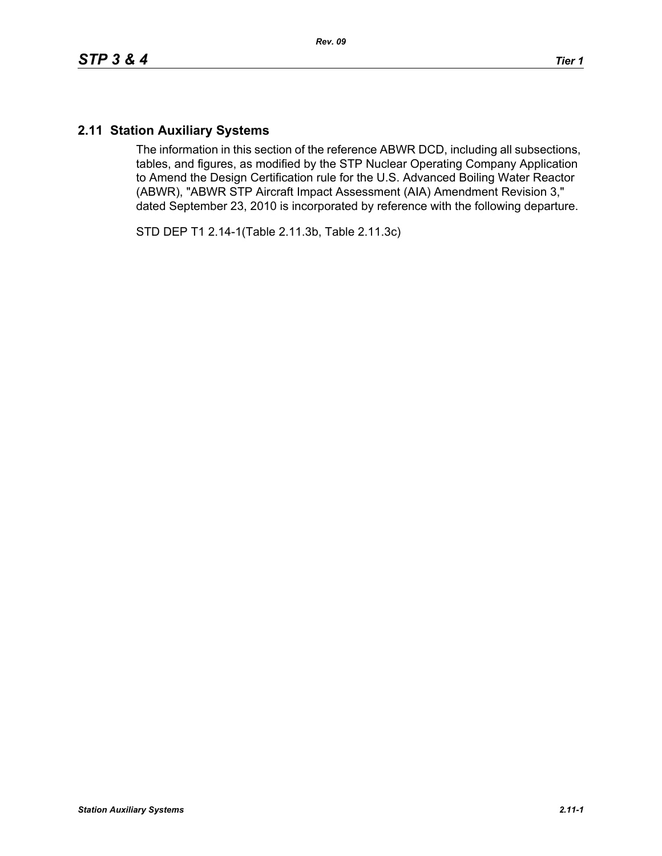## **2.11 Station Auxiliary Systems**

The information in this section of the reference ABWR DCD, including all subsections, tables, and figures, as modified by the STP Nuclear Operating Company Application to Amend the Design Certification rule for the U.S. Advanced Boiling Water Reactor (ABWR), "ABWR STP Aircraft Impact Assessment (AIA) Amendment Revision 3," dated September 23, 2010 is incorporated by reference with the following departure.

STD DEP T1 2.14-1(Table 2.11.3b, Table 2.11.3c)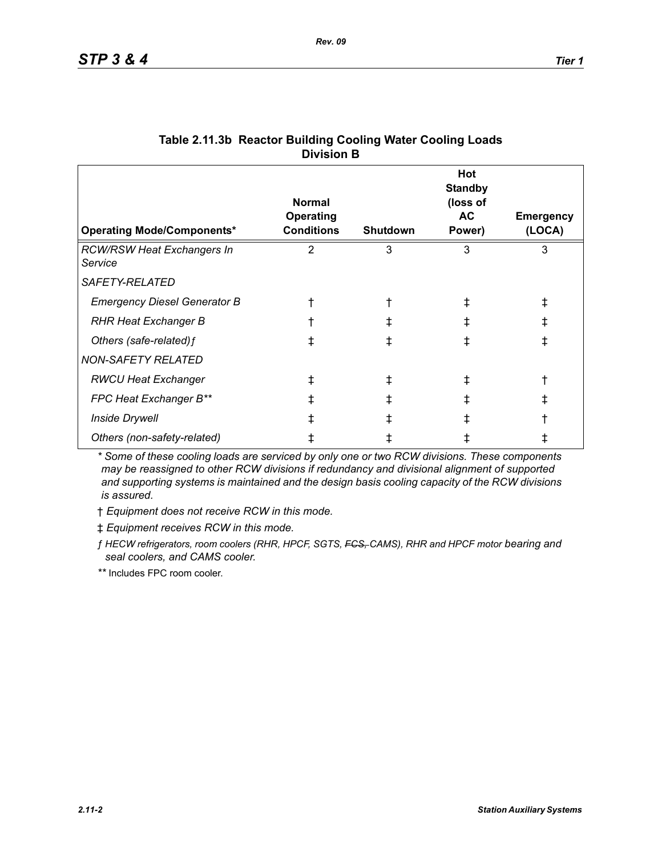| <b>Operating Mode/Components*</b>            | <b>Normal</b><br><b>Operating</b><br><b>Conditions</b> | <b>Shutdown</b> | Hot<br><b>Standby</b><br>(loss of<br>AC<br>Power) | <b>Emergency</b><br>(LOCA) |
|----------------------------------------------|--------------------------------------------------------|-----------------|---------------------------------------------------|----------------------------|
| <b>RCW/RSW Heat Exchangers In</b><br>Service | 2                                                      | 3               | 3                                                 | 3                          |
| <i>SAFETY-RELATED</i>                        |                                                        |                 |                                                   |                            |
| <b>Emergency Diesel Generator B</b>          |                                                        |                 |                                                   | ŧ                          |
| <b>RHR Heat Exchanger B</b>                  |                                                        |                 | ∓                                                 | ŧ                          |
| Others (safe-related) f                      | ⇟                                                      |                 |                                                   | ŧ                          |
| <b>NON-SAFETY RELATED</b>                    |                                                        |                 |                                                   |                            |
| <b>RWCU Heat Exchanger</b>                   | ŧ                                                      |                 |                                                   |                            |
| FPC Heat Exchanger B**                       | ⇟                                                      |                 |                                                   | ⇟                          |
| <b>Inside Drywell</b>                        |                                                        |                 |                                                   |                            |
| Others (non-safety-related)                  |                                                        |                 |                                                   |                            |

## **Table 2.11.3b Reactor Building Cooling Water Cooling Loads Division B**

*\* Some of these cooling loads are serviced by only one or two RCW divisions. These components may be reassigned to other RCW divisions if redundancy and divisional alignment of supported and supporting systems is maintained and the design basis cooling capacity of the RCW divisions is assured.*

† *Equipment does not receive RCW in this mode.*

‡ *Equipment receives RCW in this mode.*

*ƒ HECW refrigerators, room coolers (RHR, HPCF, SGTS, FCS, CAMS), RHR and HPCF motor bearing and seal coolers, and CAMS cooler.*

*\*\** Includes FPC room cooler.